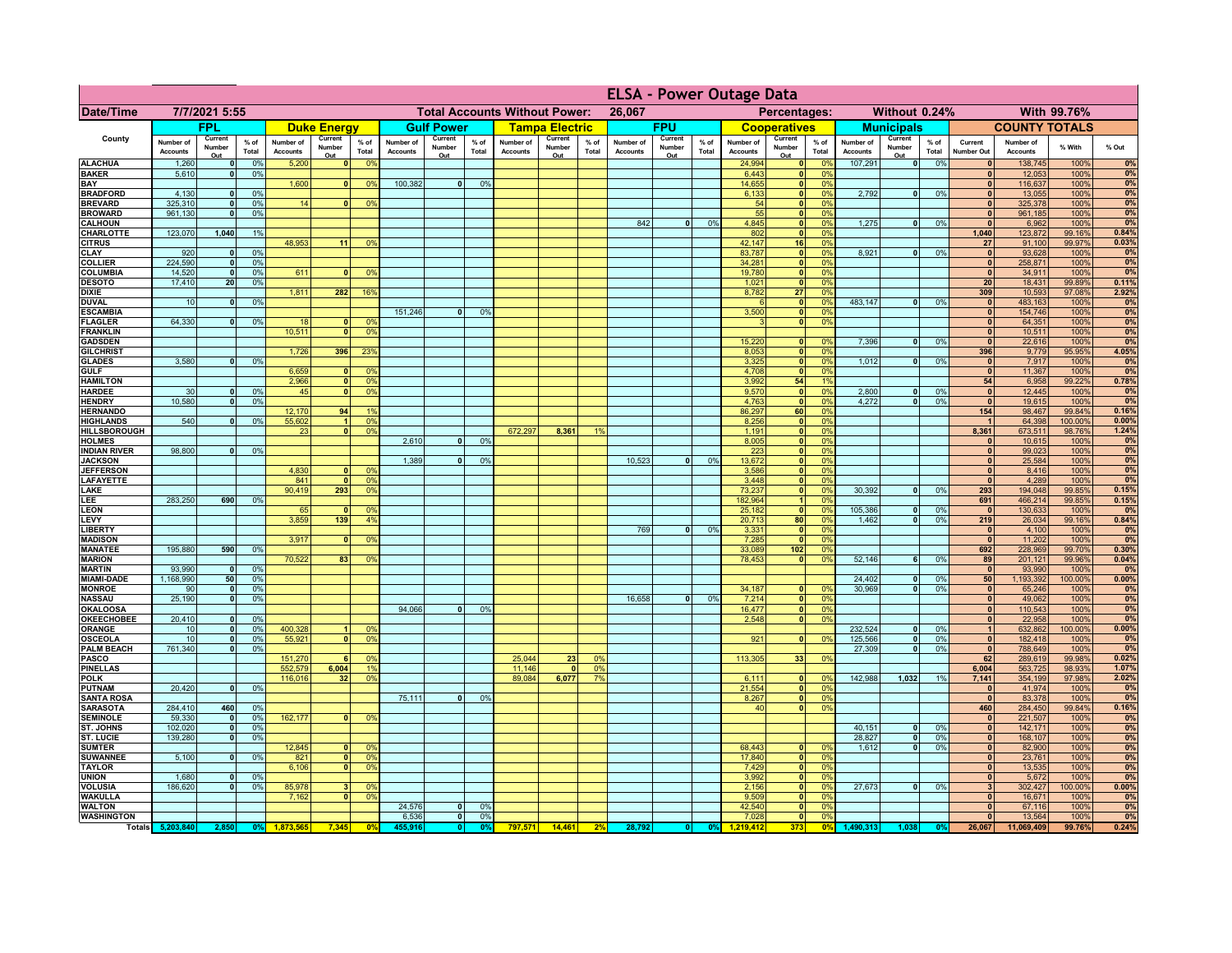|                                      |                              |                              |                 |                              |                          |                                                |                              |                          |                 |                              |                                              |                 | <b>ELSA - Power Outage Data</b> |                          |                 |                              |                          |                                     |                              |                          |                 |                                         |                              |                  |                |
|--------------------------------------|------------------------------|------------------------------|-----------------|------------------------------|--------------------------|------------------------------------------------|------------------------------|--------------------------|-----------------|------------------------------|----------------------------------------------|-----------------|---------------------------------|--------------------------|-----------------|------------------------------|--------------------------|-------------------------------------|------------------------------|--------------------------|-----------------|-----------------------------------------|------------------------------|------------------|----------------|
| <b>Date/Time</b>                     | 7/7/2021 5:55                |                              |                 |                              |                          | <b>Total Accounts Without Power:</b><br>26,067 |                              |                          |                 |                              | Percentages:<br>Without 0.24%<br>With 99.76% |                 |                                 |                          |                 |                              |                          |                                     |                              |                          |                 |                                         |                              |                  |                |
|                                      |                              | <b>FPL</b>                   |                 |                              | <b>Duke Energy</b>       |                                                |                              | <b>Gulf Power</b>        |                 |                              | <b>Tampa Electric</b>                        |                 |                                 | <b>FPU</b>               |                 |                              | <b>Cooperatives</b>      |                                     |                              | <b>Municipals</b>        |                 |                                         | <b>COUNTY TOTALS</b>         |                  |                |
| County                               | Number of<br><b>Accounts</b> | Current<br>Number<br>Out     | $%$ of<br>Total | Number of<br><b>Accounts</b> | Current<br>Number<br>Out | $%$ of<br>Total                                | Number of<br><b>Accounts</b> | Current<br>Number<br>Out | $%$ of<br>Total | Number of<br><b>Accounts</b> | Current<br>Number<br>Out                     | $%$ of<br>Total | Number of<br><b>Accounts</b>    | Current<br>Number<br>Out | $%$ of<br>Total | Number of<br><b>Accounts</b> | Current<br>Number<br>Out | $%$ of<br>Total                     | Number of<br><b>Accounts</b> | Current<br>Number<br>Out | $%$ of<br>Total | Current<br>Number Out                   | Number of<br><b>Accounts</b> | % With           | % Out          |
| <b>ALACHUA</b>                       | 1,260                        | 0                            | 0%              | 5,200                        | 0                        | 0 <sup>9</sup>                                 |                              |                          |                 |                              |                                              |                 |                                 |                          |                 | 24,994                       |                          | 0 <br>0%                            | 107,291                      | $\overline{\bullet}$     | 0%              | $\mathbf{0}$                            | 138,745                      | 100%             | 0%             |
| <b>BAKER</b><br><b>BAY</b>           | 5,610                        | 0                            | 0%              | 1,600                        | 0                        | 0 <sup>9</sup>                                 | 100,382                      | $\overline{0}$           | 0%              |                              |                                              |                 |                                 |                          |                 | 6,443<br>14,655              | $\ddot{\bullet}$         | 0%<br>0%<br> 0                      |                              |                          |                 | $\mathbf{0}$<br>$\mathbf{0}$            | 12,053<br>116,637            | 100%<br>100%     | 0%<br>0%       |
| <b>BRADFORD</b>                      | 4,130                        | $\mathbf{0}$                 | 0%              |                              |                          |                                                |                              |                          |                 |                              |                                              |                 |                                 |                          |                 | 6,133                        |                          | 0 <br>0%                            | 2,792                        | 0                        | 0%              | $\mathbf{0}$                            | 13,055                       | 100%             | 0%             |
| <b>BREVARD</b>                       | 325,310                      | $\mathbf{0}$<br>$\mathbf{0}$ | 0%              | 14                           | 0                        | 0 <sup>9</sup>                                 |                              |                          |                 |                              |                                              |                 |                                 |                          |                 | 54                           |                          | 0 <br>0%                            |                              |                          |                 | 0 <br>$\mathbf{0}$                      | 325,378                      | 100%             | 0%             |
| <b>BROWARD</b><br><b>CALHOUN</b>     | 961,130                      |                              | 0%              |                              |                          |                                                |                              |                          |                 |                              |                                              |                 | 842                             | $\bullet$                | 0%              | 55<br>4,845                  | 0                        | 0 <br>0%<br>0%                      | 1,275                        | -ol                      | 0%              | $\mathbf{0}$                            | 961,185<br>6,962             | 100%<br>100%     | 0%<br>0%       |
| <b>CHARLOTTE</b>                     | 123,070                      | 1,040                        | 1%              |                              |                          |                                                |                              |                          |                 |                              |                                              |                 |                                 |                          |                 | 802                          | 0                        | 0%                                  |                              |                          |                 | 1,040                                   | 123,872                      | 99.16%           | 0.84%          |
| <b>CITRUS</b><br>CLAY                | 920                          | $\mathbf{0}$                 | 0%              | 48,953                       | 11                       | 0 <sup>9</sup>                                 |                              |                          |                 |                              |                                              |                 |                                 |                          |                 | 42,147<br>83,787             | 16<br> 0                 | 0%<br>0%                            | 8,921                        | 0                        | 0%              | 27<br>$\pmb{\mathsf{o}}$                | 91,100<br>93,628             | 99.97%<br>100%   | 0.03%<br>0%    |
| <b>COLLIER</b>                       | 224,590                      | $\mathbf{0}$                 | 0%              |                              |                          |                                                |                              |                          |                 |                              |                                              |                 |                                 |                          |                 | 34,281                       | 0                        | 0%                                  |                              |                          |                 | $\mathbf{0}$                            | 258,871                      | 100%             | 0%             |
| <b>COLUMBIA</b>                      | 14,520                       | 0                            | 0%              | 611                          |                          | 0 <sup>9</sup>                                 |                              |                          |                 |                              |                                              |                 |                                 |                          |                 | 19,780                       | 0                        | 0%                                  |                              |                          |                 | $\mathbf{0}$                            | 34,911                       | 100%             | 0%             |
| <b>DESOTO</b><br><b>DIXIE</b>        | 17,410                       | 20                           | 0%              | 1,811                        | 282                      | 16%                                            |                              |                          |                 |                              |                                              |                 |                                 |                          |                 | 1,021<br>8,782               | 0 <br>27                 | 0%<br>0%                            |                              |                          |                 | 20<br>309                               | 18,431<br>10,593             | 99.89%<br>97.08% | 0.11%<br>2.92% |
| <b>DUVAL</b>                         | 10                           | $\mathbf 0$                  | 0%              |                              |                          |                                                |                              |                          |                 |                              |                                              |                 |                                 |                          |                 |                              | 0                        | 0%                                  | 483,147                      | 0                        | 0%              | $\mathbf{0}$                            | 483,163                      | 100%             | 0%             |
| <b>ESCAMBIA</b>                      |                              |                              |                 |                              |                          |                                                | 151,246                      | 0                        | 0 <sup>9</sup>  |                              |                                              |                 |                                 |                          |                 | 3,500                        | 0                        | 0%                                  |                              |                          |                 | 0                                       | 154,746                      | 100%             | 0%             |
| <b>FLAGLER</b><br><b>FRANKLIN</b>    | 64,330                       | 0                            | 0%              | 18<br>10,511                 | $\mathbf{0}$<br> 0       | 0 <sup>9</sup><br>0 <sup>9</sup>               |                              |                          |                 |                              |                                              |                 |                                 |                          |                 |                              | 0                        | 0%                                  |                              |                          |                 | $\mathbf{0}$<br> 0                      | 64,351<br>10,511             | 100%<br>100%     | 0%<br>0%       |
| <b>GADSDEN</b>                       |                              |                              |                 |                              |                          |                                                |                              |                          |                 |                              |                                              |                 |                                 |                          |                 | 15,220                       | 0                        | 0%                                  | 7,396                        | -ol                      | 0%              | 0                                       | 22,616                       | 100%             | 0%             |
| <b>GILCHRIST</b>                     |                              |                              |                 | 1.726                        | 396                      | 23                                             |                              |                          |                 |                              |                                              |                 |                                 |                          |                 | 8,053                        | 0                        | 0%                                  |                              |                          |                 | 396                                     | 9,779                        | 95.95%           | 4.05%          |
| <b>GLADES</b><br><b>GULF</b>         | 3,580                        | 0                            | 0%              | 6,659                        | 0                        | 0 <sup>9</sup>                                 |                              |                          |                 |                              |                                              |                 |                                 |                          |                 | 3,325<br>4,708               | 0 <br> 0                 | 0%<br>0%                            | 1,012                        | $\overline{0}$           | 0%              | 0 <br> 0                                | 7,917<br>11,367              | 100%<br>100%     | 0%<br>0%       |
| <b>HAMILTON</b>                      |                              |                              |                 | 2.966                        | $\overline{0}$           | 0 <sup>9</sup>                                 |                              |                          |                 |                              |                                              |                 |                                 |                          |                 | 3,992                        | 54                       | 1%                                  |                              |                          |                 | 54                                      | 6,958                        | 99.22%           | 0.78%          |
| <b>HARDEE</b>                        | 30                           | 0                            | 0%              | 45                           | $\overline{0}$           | 0 <sup>9</sup>                                 |                              |                          |                 |                              |                                              |                 |                                 |                          |                 | 9,570                        |                          | $\overline{\mathbf{0}}$<br>0%       | 2,800                        | 0                        | 0%              | 0                                       | 12,445                       | 100%             | 0%             |
| <b>HENDRY</b><br><b>HERNANDO</b>     | 10,580                       | $\mathbf{0}$                 | 0 <sup>9</sup>  | 12,170                       | 94                       | 1 <sup>c</sup>                                 |                              |                          |                 |                              |                                              |                 |                                 |                          |                 | 4,763<br>86,297              | 60                       | $\overline{\mathbf{0}}$<br>0%<br>0% | 4.272                        | $\overline{0}$           | 0%              | 0 <br>154                               | 19,615<br>98,467             | 100%<br>99.84%   | 0%<br>0.16%    |
| <b>HIGHLANDS</b>                     | 540                          | 0                            | 0 <sup>9</sup>  | 55,602                       | $\overline{1}$           | 0 <sup>9</sup>                                 |                              |                          |                 |                              |                                              |                 |                                 |                          |                 | 8,256                        |                          | $\overline{\mathbf{0}}$<br>0%       |                              |                          |                 | $\overline{1}$                          | 64,398                       | 100.00%          | 0.00%          |
| HILLSBOROUGH                         |                              |                              |                 | 23                           | $\mathbf{0}$             | 0 <sup>9</sup>                                 |                              |                          |                 | 672,297                      | 8,361                                        | 1%              |                                 |                          |                 | 1,191                        |                          | 0 <br>0%                            |                              |                          |                 | 8,361                                   | 673,511                      | 98.76%           | 1.24%          |
| <b>HOLMES</b><br><b>INDIAN RIVER</b> | 98,800                       | 0                            | 0%              |                              |                          |                                                | 2,610                        | $\Omega$                 | 0 <sup>9</sup>  |                              |                                              |                 |                                 |                          |                 | 8,005<br>223                 |                          | 0 <br>0%<br> 0 <br>0%               |                              |                          |                 | $\Omega$<br>$\mathbf{0}$                | 10,615<br>99,023             | 100%<br>100%     | 0%<br>0%       |
| <b>JACKSON</b>                       |                              |                              |                 |                              |                          |                                                | 1,389                        | n l                      | 0 <sup>9</sup>  |                              |                                              |                 | 10,523                          | $\mathbf{0}$             | 0%              | 13,672                       |                          | 0 <br>0%                            |                              |                          |                 | 0                                       | 25,584                       | 100%             | 0%             |
| <b>JEFFERSON</b>                     |                              |                              |                 | 4,830                        | $\Omega$                 | 0 <sup>9</sup>                                 |                              |                          |                 |                              |                                              |                 |                                 |                          |                 | 3,586                        |                          | 0 <br>0%                            |                              |                          |                 | 0                                       | 8,416                        | 100%             | 0%             |
| <b>LAFAYETTE</b><br>LAKE             |                              |                              |                 | 841<br>90,419                | $\Omega$<br>293          | 0 <sup>9</sup><br>0 <sup>9</sup>               |                              |                          |                 |                              |                                              |                 |                                 |                          |                 | 3,448<br>73,237              |                          | 0 <br>0%<br> 0 <br>0%               | 30,392                       | $\mathbf{0}$             | 0%              | 0 <br>293                               | 4,289<br>194,048             | 100%<br>99.85%   | 0%<br>0.15%    |
| LEE                                  | 283,250                      | 690                          | 0%              |                              |                          |                                                |                              |                          |                 |                              |                                              |                 |                                 |                          |                 | 182,964                      |                          | 0%<br>1                             |                              |                          |                 | 691                                     | 466,214                      | 99.85%           | 0.15%          |
| <b>LEON</b>                          |                              |                              |                 | 65<br>3,859                  | $\mathbf{0}$<br>139      | $^{\circ}$                                     |                              |                          |                 |                              |                                              |                 |                                 |                          |                 | 25,182                       |                          | 0 <br>0%<br>0%                      | 105,386                      | - O I<br>- O I           | 0%<br>0%        | 0 <br>219                               | 130,633                      | 100%             | 0%<br>0.84%    |
| LEVY<br>LIBERTY                      |                              |                              |                 |                              |                          | 4 <sup>9</sup>                                 |                              |                          |                 |                              |                                              |                 | 769                             | $\mathbf{0}$             | 0%              | 20,713<br>3,331              | 80<br> 0                 | 0%                                  | 1,462                        |                          |                 | 0                                       | 26,034<br>4,100              | 99.16%<br>100%   | 0%             |
| <b>MADISON</b>                       |                              |                              |                 | 3,917                        | $\mathbf{0}$             | 0 <sup>9</sup>                                 |                              |                          |                 |                              |                                              |                 |                                 |                          |                 | 7,285                        | 0                        | 0%                                  |                              |                          |                 | 0                                       | 11,202                       | 100%             | 0%             |
| <b>MANATEE</b><br><b>MARION</b>      | 195,880                      | 590                          | 0%              | 70,522                       | 83                       | 0 <sup>9</sup>                                 |                              |                          |                 |                              |                                              |                 |                                 |                          |                 | 33,089<br>78,453             | 102<br> 0                | 0%<br>0%                            | 52,146                       | <b>6</b>                 | 0%              | 692<br>89                               | 228,969                      | 99.70%<br>99.96% | 0.30%<br>0.04% |
| <b>MARTIN</b>                        | 93,990                       | $\mathbf{0}$                 | 0%              |                              |                          |                                                |                              |                          |                 |                              |                                              |                 |                                 |                          |                 |                              |                          |                                     |                              |                          |                 | 0                                       | 201,121<br>93,990            | 100%             | 0%             |
| <b>MIAMI-DADE</b>                    | 1,168,990                    | 50                           | 0%              |                              |                          |                                                |                              |                          |                 |                              |                                              |                 |                                 |                          |                 |                              |                          |                                     | 24,402                       | $\overline{\mathbf{0}}$  | 0%              | 50                                      | 1,193,392                    | 100.00%          | 0.00%          |
| <b>MONROE</b><br><b>NASSAU</b>       | 90<br>25,190                 | 0                            | 0%<br>0%        |                              |                          |                                                |                              |                          |                 |                              |                                              |                 | 16,658                          | 0                        | 0%              | 34,187<br>7,214              | 0 <br> 0                 | $\Omega$ %<br>0%                    | 30.969                       | - O I                    | 0%              | 0 <br> 0                                | 65,246<br>49,062             | 100%<br>100%     | 0%<br>0%       |
| <b>OKALOOSA</b>                      |                              | 0                            |                 |                              |                          |                                                | 94,066                       | 0                        | 0%              |                              |                                              |                 |                                 |                          |                 | 16,477                       |                          | 0%<br> 0                            |                              |                          |                 | 0                                       | 110,543                      | 100%             | 0%             |
| <b>OKEECHOBEE</b>                    | 20,410                       | 0                            | 0%              |                              |                          |                                                |                              |                          |                 |                              |                                              |                 |                                 |                          |                 | 2,548                        |                          | 0%<br> 0                            |                              |                          |                 | 0                                       | 22,958                       | 100%             | 0%             |
| ORANGE<br>OSCEOLA                    | 10<br>10                     | 0 <br> 0                     | 0%<br>0%        | 400,328<br>55,92'            | 11<br> 0                 | 0 <sup>9</sup><br>0 <sup>9</sup>               |                              |                          |                 |                              |                                              |                 |                                 |                          |                 | 921                          |                          | 0 <br>0%                            | 232,524<br>125,566           | 0 <br> 0                 | 0%<br>0%        | 1<br> 0                                 | 632,862<br>182,418           | 100.00%<br>100%  | 0.00%<br>0%    |
| <b>PALM BEACH</b>                    | 761,340                      | 0                            | 0%              |                              |                          |                                                |                              |                          |                 |                              |                                              |                 |                                 |                          |                 |                              |                          |                                     | 27,309                       | $\lceil 0 \rceil$        | 0%              | 0                                       | 788,649                      | 100%             | 0%             |
| <b>PASCO</b>                         |                              |                              |                 | 151,270                      | 6                        | 0 <sup>9</sup>                                 |                              |                          |                 | 25,044                       | 23                                           | 0 <sup>9</sup>  |                                 |                          |                 | 113,305                      | 33                       | 0%                                  |                              |                          |                 | 62                                      | 289,619                      | 99.98%           | 0.02%          |
| <b>PINELLAS</b><br><b>POLK</b>       |                              |                              |                 | 552,579<br>116,016           | 6,004<br>32 <sup>1</sup> | 1 <sup>c</sup><br>0 <sup>9</sup>               |                              |                          |                 | 11,146<br>89,084             | $\Omega$<br>6,077                            | 0%<br>7%        |                                 |                          |                 | 6,111                        |                          | 0 <br>nº                            | 142,988                      | 1,032                    | 1%              | 6,004<br>7,141                          | 563,725<br>354,199           | 98.93%<br>97.98% | 1.07%<br>2.02% |
| PUTNAM                               | 20,420                       | 0                            | 0%              |                              |                          |                                                |                              |                          |                 |                              |                                              |                 |                                 |                          |                 | 21,554                       |                          | 0 <br>0%                            |                              |                          |                 | 0                                       | 41,974                       | 100%             | 0%             |
| <b>SANTA ROSA</b>                    |                              |                              |                 |                              |                          |                                                | 75,111                       | 0                        | 0%              |                              |                                              |                 |                                 |                          |                 | 8,267                        |                          | 0 <br>0%                            |                              |                          |                 | 0                                       | 83,378                       | 100%             | 0%             |
| <b>SARASOTA</b><br><b>SEMINOLE</b>   | 284,410<br>59,330            | 460<br> 0                    | 0%<br>0%        | 162,177                      | $\Omega$                 | 0 <sup>9</sup>                                 |                              |                          |                 |                              |                                              |                 |                                 |                          |                 | 40                           |                          | 0 <br>0%                            |                              |                          |                 | 460<br> 0                               | 284,450<br>221,507           | 99.84%<br>100%   | 0.16%<br>0%    |
| ST. JOHNS                            | 102,020                      | 0                            | 0%              |                              |                          |                                                |                              |                          |                 |                              |                                              |                 |                                 |                          |                 |                              |                          |                                     | 40,151                       | 0                        | 0%              | 0                                       | 142,171                      | 100%             | 0%             |
| <b>ST. LUCIE</b>                     | 139,280                      | 0                            | 0%              |                              |                          |                                                |                              |                          |                 |                              |                                              |                 |                                 |                          |                 |                              |                          |                                     | 28,827                       | 0                        | 0%              | 0                                       | 168,107                      | 100%             | 0%             |
| <b>SUMTER</b><br><b>SUWANNEE</b>     | 5,100                        | $\overline{0}$               | 0%              | 12,845<br>821                | $\mathbf{0}$             | $\Omega$<br>0 <sup>9</sup>                     |                              |                          |                 |                              |                                              |                 |                                 |                          |                 | 68,443<br>17,840             | 0 <br> 0                 | 0 <sup>9</sup><br>0%                | 1,612                        | -ol                      | 0%              | $\mathbf{0}$<br>$\mathbf{0}$            | 82,900<br>23,761             | 100%<br>100%     | 0%<br>0%       |
| <b>TAYLOR</b>                        |                              |                              |                 | 6,106                        | $\mathbf{0}$             | 0 <sup>9</sup>                                 |                              |                          |                 |                              |                                              |                 |                                 |                          |                 | 7,429                        | 0                        | 0%                                  |                              |                          |                 | $\mathbf{0}$                            | 13,535                       | 100%             | 0%             |
| <b>UNION</b>                         | 1,680                        | 0                            | 0 <sup>9</sup>  |                              |                          |                                                |                              |                          |                 |                              |                                              |                 |                                 |                          |                 | 3,992                        | 0                        | 0%                                  |                              |                          |                 | $\mathbf{0}$                            | 5,672                        | 100%             | 0%             |
| <b>VOLUSIA</b><br><b>WAKULLA</b>     | 186,620                      | 0                            | 0%              | 85,978<br>7,162              | $\mathbf{0}$             | 0 <sup>9</sup><br>0 <sup>9</sup>               |                              |                          |                 |                              |                                              |                 |                                 |                          |                 | 2,156<br>9,509               | 0 <br> 0                 | 0%<br>0%                            | 27,673                       | 0                        | 0%              | $\overline{\mathbf{3}}$<br>$\mathbf{0}$ | 302,427<br>16,671            | 100.00%<br>100%  | 0.00%<br>0%    |
| <b>WALTON</b>                        |                              |                              |                 |                              |                          |                                                | 24,576                       | 0                        | 0 <sup>9</sup>  |                              |                                              |                 |                                 |                          |                 | 42,540                       | 0                        | 0%                                  |                              |                          |                 | 0                                       | 67,116                       | 100%             | 0%             |
| <b>WASHINGTON</b>                    |                              |                              |                 |                              |                          |                                                | 6,536                        | $\overline{\mathbf{0}}$  | 0%              |                              |                                              |                 |                                 |                          |                 | 7,028                        | $\overline{\mathbf{0}}$  | 0%                                  |                              |                          |                 | $\overline{0}$                          | 13,564                       | 100%             | 0%             |
|                                      | Totals 5,203,840             | 2,850                        | 0 <sup>9</sup>  | 1.873.565                    | 7,345                    | 0 <sup>0</sup>                                 | 455.916                      | 0                        | 0%              | 797,571                      | 14,461                                       | 2%              | 28,792                          | 0                        | 0%              | 1.219.412                    | 373                      | 0%                                  | 1,490,313                    | 1,038                    |                 | 26,067                                  | 11,069,409                   | 99.76%           | 0.24%          |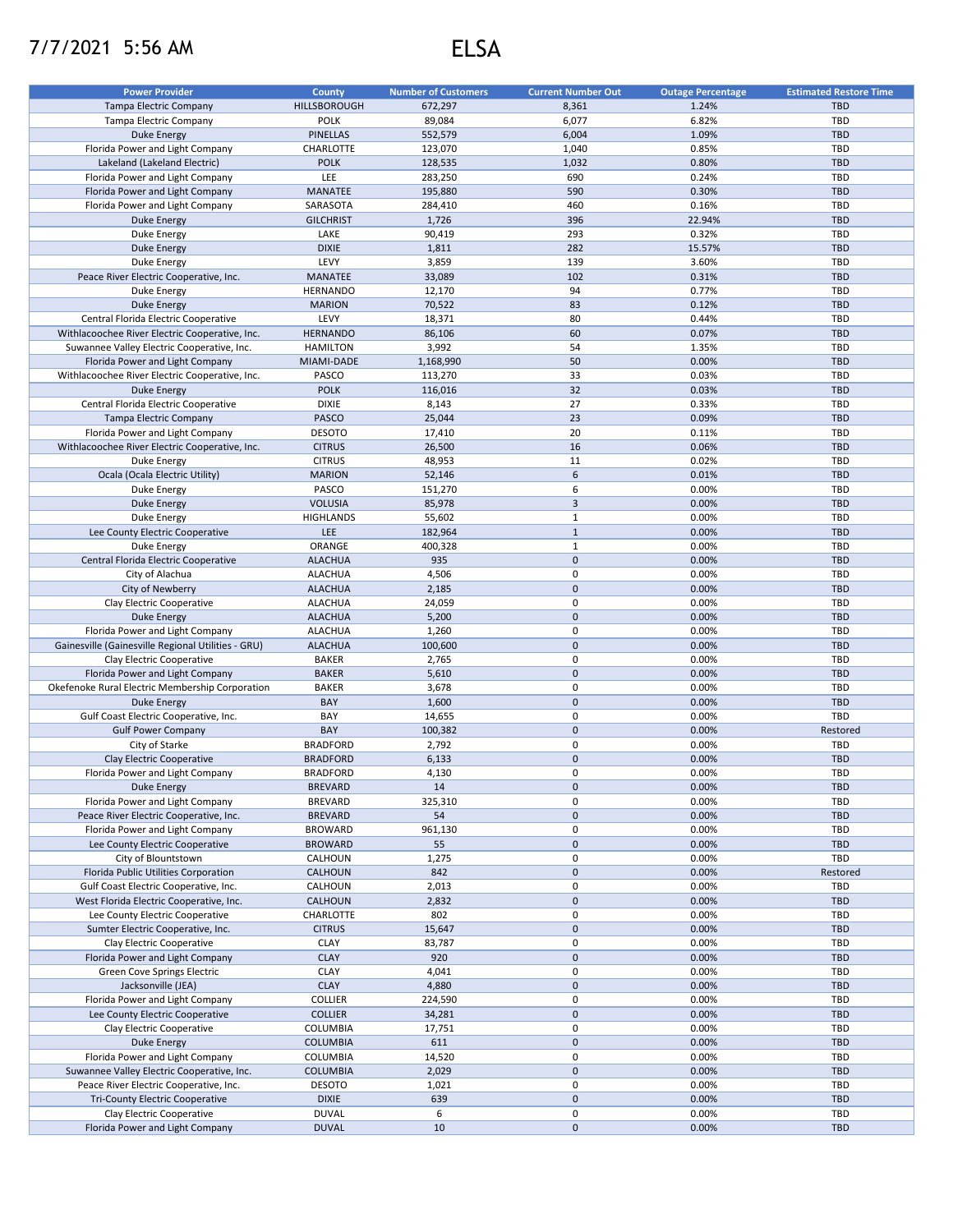## 7/7/2021 5:56 AM ELSA

| <b>Power Provider</b>                              | <b>County</b>    | <b>Number of Customers</b> | <b>Current Number Out</b> | <b>Outage Percentage</b> | <b>Estimated Restore Time</b> |
|----------------------------------------------------|------------------|----------------------------|---------------------------|--------------------------|-------------------------------|
| Tampa Electric Company                             | HILLSBOROUGH     | 672,297                    | 8,361                     | 1.24%                    | <b>TBD</b>                    |
| <b>Tampa Electric Company</b>                      | <b>POLK</b>      | 89,084                     | 6,077                     | 6.82%                    | TBD                           |
| <b>Duke Energy</b>                                 | <b>PINELLAS</b>  | 552,579                    | 6,004                     | 1.09%                    | TBD                           |
| Florida Power and Light Company                    | CHARLOTTE        | 123,070                    | 1,040                     | 0.85%                    | TBD                           |
| Lakeland (Lakeland Electric)                       | <b>POLK</b>      | 128,535                    | 1,032                     | 0.80%                    | <b>TBD</b>                    |
| Florida Power and Light Company                    | LEE              | 283,250                    | 690                       | 0.24%                    | TBD                           |
| Florida Power and Light Company                    | MANATEE          | 195,880                    | 590                       | 0.30%                    | <b>TBD</b>                    |
| Florida Power and Light Company                    | SARASOTA         | 284,410                    | 460                       | 0.16%                    | TBD                           |
| <b>Duke Energy</b>                                 | <b>GILCHRIST</b> | 1,726                      | 396                       | 22.94%                   | <b>TBD</b>                    |
| Duke Energy                                        | LAKE             | 90,419                     | 293                       | 0.32%                    | TBD                           |
| <b>Duke Energy</b>                                 | <b>DIXIE</b>     | 1,811                      | 282                       | 15.57%                   | <b>TBD</b>                    |
| Duke Energy                                        | LEVY             | 3,859                      | 139                       | 3.60%                    | TBD                           |
| Peace River Electric Cooperative, Inc.             | <b>MANATEE</b>   | 33,089                     | 102                       | 0.31%                    | <b>TBD</b>                    |
|                                                    | <b>HERNANDO</b>  | 12,170                     | 94                        | 0.77%                    | TBD                           |
| Duke Energy<br><b>Duke Energy</b>                  | <b>MARION</b>    | 70,522                     | 83                        | 0.12%                    | <b>TBD</b>                    |
| Central Florida Electric Cooperative               | LEVY             | 18,371                     | 80                        | 0.44%                    | TBD                           |
| Withlacoochee River Electric Cooperative, Inc.     | <b>HERNANDO</b>  | 86,106                     | 60                        | 0.07%                    | <b>TBD</b>                    |
|                                                    |                  |                            |                           |                          |                               |
| Suwannee Valley Electric Cooperative, Inc.         | <b>HAMILTON</b>  | 3,992                      | 54                        | 1.35%                    | TBD                           |
| Florida Power and Light Company                    | MIAMI-DADE       | 1,168,990                  | 50                        | 0.00%                    | <b>TBD</b>                    |
| Withlacoochee River Electric Cooperative, Inc.     | PASCO            | 113,270                    | 33                        | 0.03%                    | TBD                           |
| Duke Energy                                        | <b>POLK</b>      | 116,016                    | 32                        | 0.03%                    | <b>TBD</b>                    |
| Central Florida Electric Cooperative               | <b>DIXIE</b>     | 8,143                      | 27                        | 0.33%                    | TBD                           |
| <b>Tampa Electric Company</b>                      | <b>PASCO</b>     | 25,044                     | 23                        | 0.09%                    | <b>TBD</b>                    |
| Florida Power and Light Company                    | <b>DESOTO</b>    | 17,410                     | 20                        | 0.11%                    | TBD                           |
| Withlacoochee River Electric Cooperative, Inc.     | <b>CITRUS</b>    | 26,500                     | 16                        | 0.06%                    | <b>TBD</b>                    |
| Duke Energy                                        | <b>CITRUS</b>    | 48,953                     | 11                        | 0.02%                    | TBD                           |
| Ocala (Ocala Electric Utility)                     | <b>MARION</b>    | 52,146                     | 6                         | 0.01%                    | <b>TBD</b>                    |
| Duke Energy                                        | PASCO            | 151,270                    | 6                         | 0.00%                    | TBD                           |
| <b>Duke Energy</b>                                 | <b>VOLUSIA</b>   | 85,978                     | 3                         | 0.00%                    | <b>TBD</b>                    |
| Duke Energy                                        | <b>HIGHLANDS</b> | 55,602                     | $\mathbf{1}$              | 0.00%                    | TBD                           |
| Lee County Electric Cooperative                    | LEE              | 182,964                    | $\mathbf 1$               | 0.00%                    | <b>TBD</b>                    |
| Duke Energy                                        | ORANGE           | 400,328                    | $\mathbf{1}$              | 0.00%                    | TBD                           |
| Central Florida Electric Cooperative               | <b>ALACHUA</b>   | 935                        | $\pmb{0}$                 | 0.00%                    | <b>TBD</b>                    |
| City of Alachua                                    | <b>ALACHUA</b>   | 4,506                      | 0                         | 0.00%                    | TBD                           |
| City of Newberry                                   | <b>ALACHUA</b>   | 2,185                      | $\pmb{0}$                 | 0.00%                    | <b>TBD</b>                    |
| Clay Electric Cooperative                          | <b>ALACHUA</b>   | 24,059                     | 0                         | 0.00%                    | TBD                           |
| <b>Duke Energy</b>                                 | <b>ALACHUA</b>   | 5,200                      | $\pmb{0}$                 | 0.00%                    | <b>TBD</b>                    |
| Florida Power and Light Company                    | <b>ALACHUA</b>   | 1,260                      | 0                         | 0.00%                    | TBD                           |
| Gainesville (Gainesville Regional Utilities - GRU) | <b>ALACHUA</b>   | 100,600                    | $\pmb{0}$                 | 0.00%                    | <b>TBD</b>                    |
| Clay Electric Cooperative                          | <b>BAKER</b>     | 2,765                      | 0                         | 0.00%                    | TBD                           |
| Florida Power and Light Company                    | <b>BAKER</b>     | 5,610                      | $\pmb{0}$                 | 0.00%                    | <b>TBD</b>                    |
| Okefenoke Rural Electric Membership Corporation    | <b>BAKER</b>     | 3,678                      | 0                         | 0.00%                    | TBD                           |
| <b>Duke Energy</b>                                 | BAY              | 1,600                      | $\mathbf 0$               | 0.00%                    | <b>TBD</b>                    |
| Gulf Coast Electric Cooperative, Inc.              | BAY              | 14,655                     | 0                         | 0.00%                    | <b>TBD</b>                    |
| <b>Gulf Power Company</b>                          | BAY              | 100,382                    | $\mathbf 0$               | 0.00%                    | Restored                      |
| City of Starke                                     | <b>BRADFORD</b>  | 2,792                      | 0                         | 0.00%                    | TBD                           |
| Clay Electric Cooperative                          | <b>BRADFORD</b>  | 6,133                      | $\mathbf 0$               | 0.00%                    | <b>TBD</b>                    |
| Florida Power and Light Company                    |                  |                            | 0                         |                          | TBD                           |
|                                                    | <b>BRADFORD</b>  | 4,130                      |                           | 0.00%                    |                               |
| <b>Duke Energy</b>                                 | <b>BREVARD</b>   | 14                         | $\mathsf{O}\xspace$       | 0.00%                    | TBD                           |
| Florida Power and Light Company                    | <b>BREVARD</b>   | 325,310                    | 0                         | 0.00%                    | TBD                           |
| Peace River Electric Cooperative, Inc.             | <b>BREVARD</b>   | 54                         | $\mathsf{O}\xspace$       | 0.00%                    | <b>TBD</b>                    |
| Florida Power and Light Company                    | <b>BROWARD</b>   | 961,130                    | $\pmb{0}$                 | 0.00%                    | TBD                           |
| Lee County Electric Cooperative                    | <b>BROWARD</b>   | 55                         | $\mathsf{O}\xspace$       | 0.00%                    | TBD                           |
| City of Blountstown                                | CALHOUN          | 1,275                      | $\pmb{0}$                 | 0.00%                    | TBD                           |
| Florida Public Utilities Corporation               | CALHOUN          | 842                        | $\mathbf 0$               | 0.00%                    | Restored                      |
| Gulf Coast Electric Cooperative, Inc.              | CALHOUN          | 2,013                      | $\pmb{0}$                 | 0.00%                    | TBD                           |
| West Florida Electric Cooperative, Inc.            | CALHOUN          | 2,832                      | $\mathsf{O}\xspace$       | 0.00%                    | <b>TBD</b>                    |
| Lee County Electric Cooperative                    | CHARLOTTE        | 802                        | 0                         | 0.00%                    | TBD                           |
| Sumter Electric Cooperative, Inc.                  | <b>CITRUS</b>    | 15,647                     | $\mathbf 0$               | 0.00%                    | <b>TBD</b>                    |
| Clay Electric Cooperative                          | CLAY             | 83,787                     | 0                         | 0.00%                    | TBD                           |
| Florida Power and Light Company                    | <b>CLAY</b>      | 920                        | $\pmb{0}$                 | 0.00%                    | <b>TBD</b>                    |
| <b>Green Cove Springs Electric</b>                 | CLAY             | 4,041                      | 0                         | 0.00%                    | TBD                           |
| Jacksonville (JEA)                                 | <b>CLAY</b>      | 4,880                      | $\pmb{0}$                 | 0.00%                    | TBD                           |
| Florida Power and Light Company                    | <b>COLLIER</b>   | 224,590                    | 0                         | 0.00%                    | TBD                           |
| Lee County Electric Cooperative                    | <b>COLLIER</b>   | 34,281                     | $\pmb{0}$                 | 0.00%                    | <b>TBD</b>                    |
| Clay Electric Cooperative                          | COLUMBIA         | 17,751                     | 0                         | 0.00%                    | TBD                           |
| <b>Duke Energy</b>                                 | COLUMBIA         | 611                        | $\mathsf{O}\xspace$       | 0.00%                    | TBD                           |
| Florida Power and Light Company                    | COLUMBIA         | 14,520                     | 0                         | 0.00%                    | TBD                           |
| Suwannee Valley Electric Cooperative, Inc.         | <b>COLUMBIA</b>  | 2,029                      | $\mathsf{O}\xspace$       | 0.00%                    | TBD                           |
| Peace River Electric Cooperative, Inc.             | <b>DESOTO</b>    | 1,021                      | 0                         | 0.00%                    | TBD                           |
| <b>Tri-County Electric Cooperative</b>             | <b>DIXIE</b>     | 639                        | $\mathbf 0$               | 0.00%                    | <b>TBD</b>                    |
| Clay Electric Cooperative                          | <b>DUVAL</b>     | 6                          | 0                         | 0.00%                    | TBD                           |
| Florida Power and Light Company                    | <b>DUVAL</b>     | 10                         | $\mathsf{O}\xspace$       | 0.00%                    | TBD                           |
|                                                    |                  |                            |                           |                          |                               |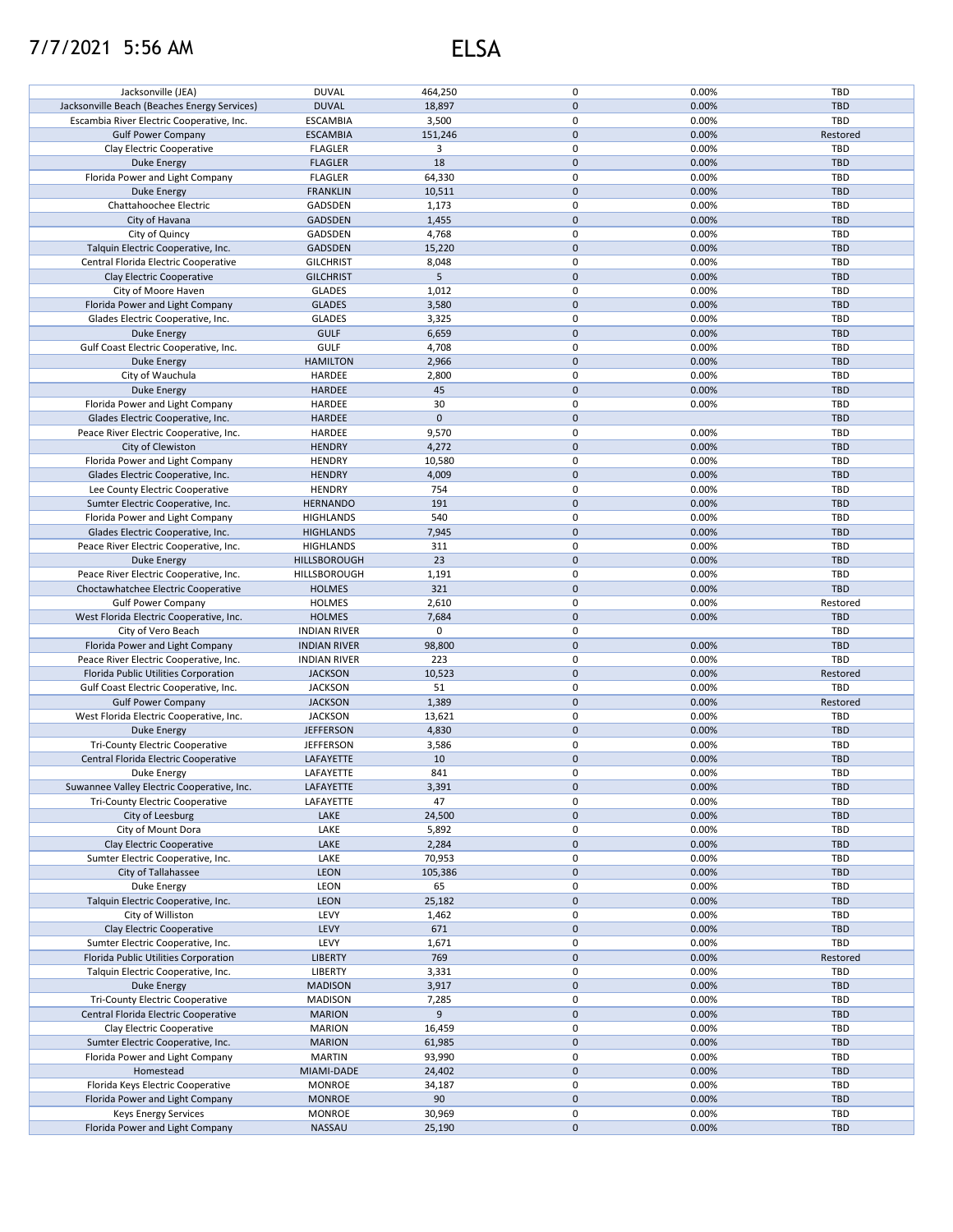## 7/7/2021 5:56 AM ELSA

|                                                                | <b>DUVAL</b>        |           | 0            | 0.00% | TBD        |
|----------------------------------------------------------------|---------------------|-----------|--------------|-------|------------|
| Jacksonville (JEA)                                             |                     | 464,250   |              |       |            |
| Jacksonville Beach (Beaches Energy Services)                   | <b>DUVAL</b>        | 18,897    | $\pmb{0}$    | 0.00% | <b>TBD</b> |
| Escambia River Electric Cooperative, Inc.                      | <b>ESCAMBIA</b>     | 3,500     | $\mathbf 0$  | 0.00% | TBD        |
| <b>Gulf Power Company</b>                                      | <b>ESCAMBIA</b>     | 151,246   | $\mathbf{0}$ | 0.00% | Restored   |
| Clay Electric Cooperative                                      | <b>FLAGLER</b>      | 3         | $\mathbf 0$  | 0.00% | <b>TBD</b> |
|                                                                |                     | 18        | $\pmb{0}$    |       | <b>TBD</b> |
| <b>Duke Energy</b>                                             | <b>FLAGLER</b>      |           |              | 0.00% |            |
| Florida Power and Light Company                                | <b>FLAGLER</b>      | 64,330    | $\pmb{0}$    | 0.00% | TBD        |
| <b>Duke Energy</b>                                             | <b>FRANKLIN</b>     | 10,511    | $\pmb{0}$    | 0.00% | <b>TBD</b> |
| Chattahoochee Electric                                         | GADSDEN             | 1,173     | 0            | 0.00% | TBD        |
| City of Havana                                                 | <b>GADSDEN</b>      | 1,455     | $\pmb{0}$    | 0.00% | <b>TBD</b> |
| City of Quincy                                                 | GADSDEN             | 4,768     | $\mathbf 0$  | 0.00% | TBD        |
|                                                                |                     |           |              |       |            |
| Talquin Electric Cooperative, Inc.                             | <b>GADSDEN</b>      | 15,220    | $\mathbf{0}$ | 0.00% | <b>TBD</b> |
| Central Florida Electric Cooperative                           | <b>GILCHRIST</b>    | 8,048     | 0            | 0.00% | TBD        |
| Clay Electric Cooperative                                      | <b>GILCHRIST</b>    | 5         | $\pmb{0}$    | 0.00% | <b>TBD</b> |
| City of Moore Haven                                            | <b>GLADES</b>       | 1,012     | $\pmb{0}$    | 0.00% | TBD        |
| Florida Power and Light Company                                | <b>GLADES</b>       | 3,580     | $\pmb{0}$    | 0.00% | <b>TBD</b> |
|                                                                |                     |           | 0            |       |            |
| Glades Electric Cooperative, Inc.                              | <b>GLADES</b>       | 3,325     |              | 0.00% | TBD        |
| <b>Duke Energy</b>                                             | <b>GULF</b>         | 6,659     | $\pmb{0}$    | 0.00% | <b>TBD</b> |
| Gulf Coast Electric Cooperative, Inc.                          | <b>GULF</b>         | 4,708     | $\pmb{0}$    | 0.00% | <b>TBD</b> |
| <b>Duke Energy</b>                                             | <b>HAMILTON</b>     | 2,966     | $\pmb{0}$    | 0.00% | <b>TBD</b> |
| City of Wauchula                                               | HARDEE              | 2,800     | $\pmb{0}$    | 0.00% | <b>TBD</b> |
|                                                                |                     |           | $\pmb{0}$    |       |            |
| <b>Duke Energy</b>                                             | <b>HARDEE</b>       | 45        |              | 0.00% | <b>TBD</b> |
| Florida Power and Light Company                                | HARDEE              | 30        | 0            | 0.00% | TBD        |
| Glades Electric Cooperative, Inc.                              | <b>HARDEE</b>       | $\pmb{0}$ | $\pmb{0}$    |       | <b>TBD</b> |
| Peace River Electric Cooperative, Inc.                         | HARDEE              | 9,570     | 0            | 0.00% | TBD        |
| City of Clewiston                                              | <b>HENDRY</b>       | 4,272     | $\pmb{0}$    | 0.00% | <b>TBD</b> |
|                                                                |                     |           |              |       |            |
| Florida Power and Light Company                                | <b>HENDRY</b>       | 10,580    | 0            | 0.00% | TBD        |
| Glades Electric Cooperative, Inc.                              | <b>HENDRY</b>       | 4,009     | $\pmb{0}$    | 0.00% | <b>TBD</b> |
| Lee County Electric Cooperative                                | <b>HENDRY</b>       | 754       | $\mathbf 0$  | 0.00% | TBD        |
| Sumter Electric Cooperative, Inc.                              | <b>HERNANDO</b>     | 191       | $\pmb{0}$    | 0.00% | <b>TBD</b> |
| Florida Power and Light Company                                | <b>HIGHLANDS</b>    | 540       | $\pmb{0}$    | 0.00% | TBD        |
|                                                                |                     |           |              |       |            |
| Glades Electric Cooperative, Inc.                              | <b>HIGHLANDS</b>    | 7,945     | $\pmb{0}$    | 0.00% | <b>TBD</b> |
| Peace River Electric Cooperative, Inc.                         | <b>HIGHLANDS</b>    | 311       | $\pmb{0}$    | 0.00% | TBD        |
| <b>Duke Energy</b>                                             | <b>HILLSBOROUGH</b> | 23        | $\pmb{0}$    | 0.00% | <b>TBD</b> |
| Peace River Electric Cooperative, Inc.                         | HILLSBOROUGH        | 1,191     | 0            | 0.00% | TBD        |
| Choctawhatchee Electric Cooperative                            | <b>HOLMES</b>       | 321       | $\pmb{0}$    | 0.00% | <b>TBD</b> |
| <b>Gulf Power Company</b>                                      | <b>HOLMES</b>       | 2,610     | 0            | 0.00% | Restored   |
|                                                                |                     |           |              |       |            |
| West Florida Electric Cooperative, Inc.                        | <b>HOLMES</b>       | 7,684     | $\pmb{0}$    | 0.00% | <b>TBD</b> |
| City of Vero Beach                                             | <b>INDIAN RIVER</b> | 0         | 0            |       | TBD        |
| Florida Power and Light Company                                | <b>INDIAN RIVER</b> | 98,800    | $\pmb{0}$    | 0.00% | <b>TBD</b> |
| Peace River Electric Cooperative, Inc.                         | <b>INDIAN RIVER</b> | 223       | $\pmb{0}$    | 0.00% | TBD        |
| Florida Public Utilities Corporation                           | <b>JACKSON</b>      | 10,523    | $\pmb{0}$    | 0.00% | Restored   |
|                                                                |                     |           |              |       |            |
| Gulf Coast Electric Cooperative, Inc.                          | <b>JACKSON</b>      | 51        | $\pmb{0}$    | 0.00% | TBD        |
| <b>Gulf Power Company</b>                                      | <b>JACKSON</b>      | 1,389     | $\pmb{0}$    | 0.00% | Restored   |
| West Florida Electric Cooperative, Inc.                        | <b>JACKSON</b>      | 13,621    | $\pmb{0}$    | 0.00% | TBD        |
| Duke Energy                                                    | <b>JEFFERSON</b>    | 4,830     | $\pmb{0}$    | 0.00% | <b>TBD</b> |
| <b>Tri-County Electric Cooperative</b>                         | <b>JEFFERSON</b>    | 3,586     | 0            | 0.00% | TBD        |
|                                                                |                     |           |              |       |            |
| Central Florida Electric Cooperative                           | LAFAYETTE           | 10        | $\pmb{0}$    | 0.00% | <b>TBD</b> |
| Duke Energy                                                    | LAFAYETTE           | 841       | $\mathbf 0$  | 0.00% | TBD        |
| Suwannee Valley Electric Cooperative, Inc.                     | LAFAYETTE           | 3,391     | $\pmb{0}$    | 0.00% | <b>TBD</b> |
| <b>Tri-County Electric Cooperative</b>                         | LAFAYETTE           | 47        | 0            | 0.00% | TBD        |
| City of Leesburg                                               | LAKE                | 24,500    | $\pmb{0}$    | 0.00% | TBD        |
| City of Mount Dora                                             | LAKE                |           | 0            | 0.00% | TBD        |
|                                                                |                     | 5,892     |              |       |            |
| Clay Electric Cooperative                                      | LAKE                | 2,284     | $\pmb{0}$    | 0.00% | <b>TBD</b> |
| Sumter Electric Cooperative, Inc.                              | LAKE                | 70,953    | 0            | 0.00% | TBD        |
| City of Tallahassee                                            | LEON                | 105,386   | $\pmb{0}$    | 0.00% | <b>TBD</b> |
| Duke Energy                                                    | LEON                | 65        | 0            | 0.00% | TBD        |
| Talquin Electric Cooperative, Inc.                             | LEON                | 25,182    | $\pmb{0}$    | 0.00% | <b>TBD</b> |
|                                                                |                     |           |              |       |            |
| City of Williston                                              | LEVY                | 1,462     | 0            | 0.00% | TBD        |
| Clay Electric Cooperative                                      | LEVY                | 671       | $\pmb{0}$    | 0.00% | <b>TBD</b> |
| Sumter Electric Cooperative, Inc.                              | LEVY                | 1,671     | 0            | 0.00% | TBD        |
| Florida Public Utilities Corporation                           | <b>LIBERTY</b>      | 769       | $\pmb{0}$    | 0.00% | Restored   |
| Talquin Electric Cooperative, Inc.                             | LIBERTY             | 3,331     | 0            | 0.00% | TBD        |
| <b>Duke Energy</b>                                             | <b>MADISON</b>      | 3,917     | $\pmb{0}$    | 0.00% | TBD        |
|                                                                |                     |           |              |       |            |
| <b>Tri-County Electric Cooperative</b>                         | <b>MADISON</b>      | 7,285     | 0            | 0.00% | TBD        |
| Central Florida Electric Cooperative                           | <b>MARION</b>       | 9         | $\pmb{0}$    | 0.00% | <b>TBD</b> |
| Clay Electric Cooperative                                      | <b>MARION</b>       | 16,459    | 0            | 0.00% | TBD        |
| Sumter Electric Cooperative, Inc.                              | <b>MARION</b>       | 61,985    | $\pmb{0}$    | 0.00% | TBD        |
| Florida Power and Light Company                                | <b>MARTIN</b>       | 93,990    | $\pmb{0}$    | 0.00% | TBD        |
|                                                                |                     |           |              |       |            |
| Homestead                                                      | MIAMI-DADE          | 24,402    | $\pmb{0}$    | 0.00% | <b>TBD</b> |
| Florida Keys Electric Cooperative                              |                     |           |              |       |            |
|                                                                | <b>MONROE</b>       | 34,187    | 0            | 0.00% | <b>TBD</b> |
| Florida Power and Light Company                                | <b>MONROE</b>       | 90        | $\pmb{0}$    | 0.00% | <b>TBD</b> |
|                                                                | <b>MONROE</b>       | 30,969    | 0            | 0.00% | <b>TBD</b> |
| <b>Keys Energy Services</b><br>Florida Power and Light Company | <b>NASSAU</b>       | 25,190    | $\pmb{0}$    | 0.00% | <b>TBD</b> |